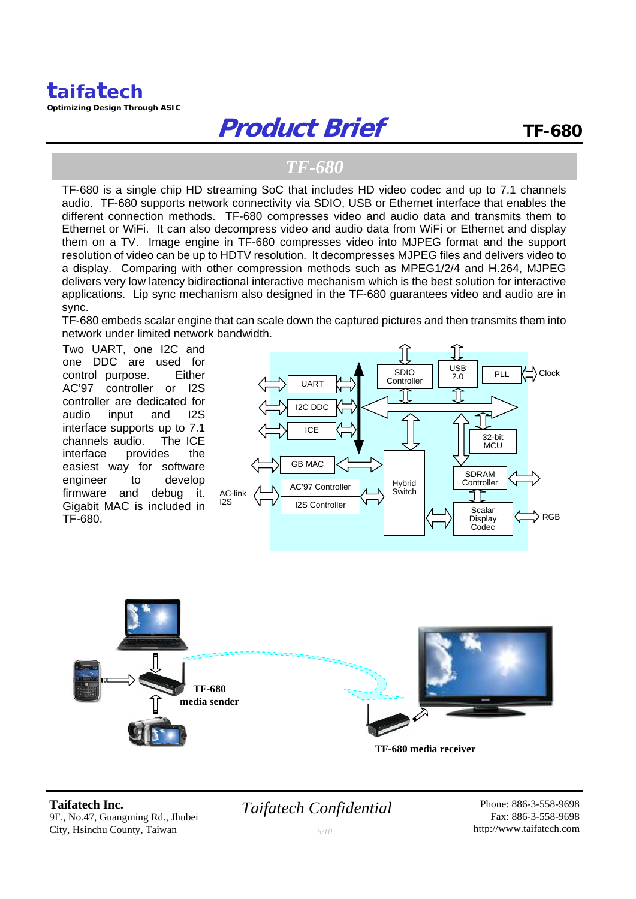

# **Product Brief TF-680**

## *TF-680*

TF-680 is a single chip HD streaming SoC that includes HD video codec and up to 7.1 channels audio. TF-680 supports network connectivity via SDIO, USB or Ethernet interface that enables the different connection methods. TF-680 compresses video and audio data and transmits them to Ethernet or WiFi. It can also decompress video and audio data from WiFi or Ethernet and display them on a TV. Image engine in TF-680 compresses video into MJPEG format and the support resolution of video can be up to HDTV resolution. It decompresses MJPEG files and delivers video to a display. Comparing with other compression methods such as MPEG1/2/4 and H.264, MJPEG delivers very low latency bidirectional interactive mechanism which is the best solution for interactive applications. Lip sync mechanism also designed in the TF-680 guarantees video and audio are in sync.

TF-680 embeds scalar engine that can scale down the captured pictures and then transmits them into network under limited network bandwidth.

Two UART, one I2C and one DDC are used for control purpose. Either AC'97 controller or I2S controller are dedicated for audio input and I2S interface supports up to 7.1 channels audio. The ICE interface provides the easiest way for software engineer to develop firmware and debug it. Gigabit MAC is included in TF-680.





 **Taifatech Inc.** 9F., No.47, Guangming Rd., Jhubei City, Hsinchu County, Taiwan

## *Taifatech Confidential*

Phone: 886-3-558-9698 Fax: 886-3-558-9698 http://www.taifatech.com